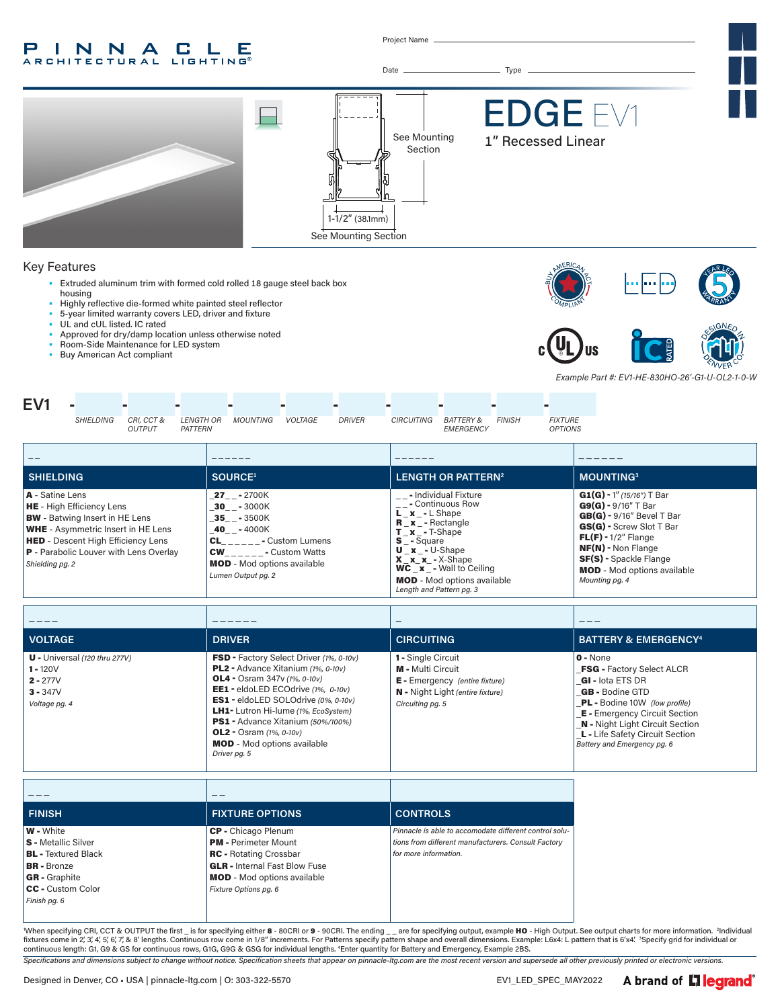#### INNA **In the United States** C. Е **ROBITECTURAL EDGETING**

Project Name



\_ \_ \_ \_ \_ **FINISH FIXTURE OPTIONS CONTROLS** W - White S - Metallic Silver **BL** - Textured Black BR - Bronze GR - Graphite CC - Custom Color *Finish pg. 6* CP - Chicago Plenum PM - Perimeter Mount RC - Rotating Crossbar GLR - Internal Fast Blow Fuse MOD - Mod options available *Fixture Options pg. 6 Pinnacle is able to accomodate different control solutions from different manufacturers. Consult Factory for more information.*

OL2 - Osram *(1%, 0-10v)* MOD - Mod options available

*Driver pg. 5*

When specifying CRI, CCT & OUTPUT the first \_ is for specifying either 8 - 80CRI or 9 - 90CRI. The ending \_ \_ are for specifying output, example HO - High Output. See output charts for more information. <sup>2</sup>Individual fixtures come in 2, 3, 4, 5, 6, 7, & 8' lengths. Continuous row come in 1/8" increments. For Patterns specify pattern shape and overall dimensions. Example: L6x4: L pattern that is 6'x4'. <sup>3</sup>Specify grid for individual or continuous length: G1, G9 & GS for continuous rows, G1G, G9G & GSG for individual lengths. 4 Enter quantity for Battery and Emergency, Example 2BS.

*Specifications and dimensions subject to change without notice. Specification sheets that appear on pinnacle-ltg.com are the most recent version and supersede all other previously printed or electronic versions.*

\_L - Life Safety Circuit Section *Battery and Emergency pg. 6*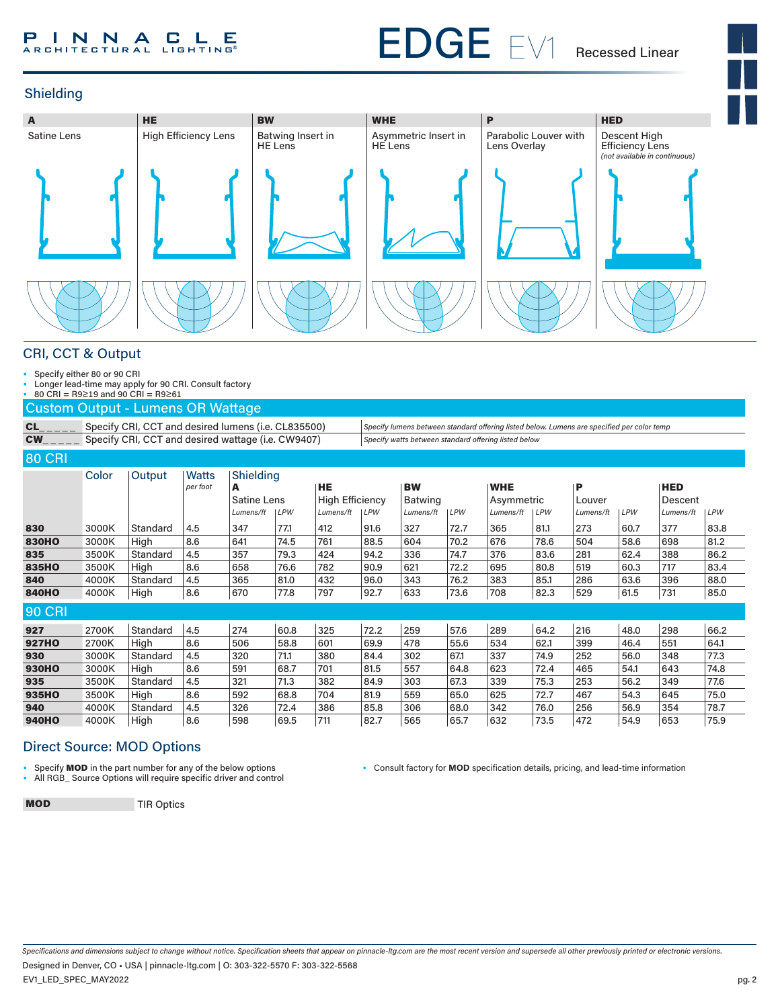#### P **I N N A C L E** Р

# EDGE EV1

Recessed Linear



### Shielding



#### CRI, CCT & Output

• Specify either 80 or 90 CRI<br>• Longer lead-time may apply

• Longer lead-time may apply for 90 CRI. Consult factory

• 80 CRI = R9≥19 and 90 CRI = R9≥61

Custom Output - Lumens OR Wattage

CL\_\_\_\_\_ Specify CRI, CCT and desired lumens (i.e. CL835500) Specify lumens between standard offering listed below. Lumens are specified per color temp CW\_ \_ \_ \_ \_ Specify CRI, CCT and desired wattage (i.e. CW9407) *Specify watts between standard offering listed below*

#### 80 CRI

| <u>ou Uni</u> |       |          |              |                    |      |                        |      |                |            |            |      |           |      |            |      |
|---------------|-------|----------|--------------|--------------------|------|------------------------|------|----------------|------------|------------|------|-----------|------|------------|------|
|               | Color | Output   | <b>Watts</b> | Shielding          |      |                        |      |                |            |            |      |           |      |            |      |
|               |       |          | per foot     | A                  |      | <b>HE</b>              |      | <b>BW</b>      |            | <b>WHE</b> |      | P         |      | <b>HED</b> |      |
|               |       |          |              | <b>Satine Lens</b> |      | <b>High Efficiency</b> |      | <b>Batwing</b> |            | Asymmetric |      | Louver    |      | Descent    |      |
|               |       |          |              | Lumens/ft          | LPW  | Lumens/ft              | LPW  | Lumens/ft      | <b>LPW</b> | Lumens/ft  | LPW  | Lumens/ft | LPW  | Lumens/ft  | LPW  |
| 830           | 3000K | Standard | 4.5          | 347                | 77.1 | 412                    | 91.6 | 327            | 72.7       | 365        | 81.1 | 273       | 60.7 | 377        | 83.8 |
| <b>830HO</b>  | 3000K | High     | 8.6          | 641                | 74.5 | 761                    | 88.5 | 604            | 70.2       | 676        | 78.6 | 504       | 58.6 | 698        | 81.2 |
| 835           | 3500K | Standard | 4.5          | 357                | 79.3 | 424                    | 94.2 | 336            | 74.7       | 376        | 83.6 | 281       | 62.4 | 388        | 86.2 |
| 835HO         | 3500K | High     | 8.6          | 658                | 76.6 | 782                    | 90.9 | 621            | 72.2       | 695        | 80.8 | 519       | 60.3 | 717        | 83.4 |
| 840           | 4000K | Standard | 4.5          | 365                | 81.0 | 432                    | 96.0 | 343            | 76.2       | 383        | 85.1 | 286       | 63.6 | 396        | 88.0 |
| <b>840HO</b>  | 4000K | High     | 8.6          | 670                | 77.8 | 797                    | 92.7 | 633            | 73.6       | 708        | 82.3 | 529       | 61.5 | 731        | 85.0 |
| <b>90 CRI</b> |       |          |              |                    |      |                        |      |                |            |            |      |           |      |            |      |
| 927           | 2700K | Standard | 4.5          | 274                | 60.8 | 325                    | 72.2 | 259            | 57.6       | 289        | 64.2 | 216       | 48.0 | 298        | 66.2 |
| <b>927HO</b>  | 2700K | High     | 8.6          | 506                | 58.8 | 601                    | 69.9 | 478            | 55.6       | 534        | 62.1 | 399       | 46.4 | 551        | 64.1 |
| 930           | 3000K | Standard | 4.5          | 320                | 71.1 | 380                    | 84.4 | 302            | 67.1       | 337        | 74.9 | 252       | 56.0 | 348        | 77.3 |
| <b>930HO</b>  | 3000K | High     | 8.6          | 591                | 68.7 | 701                    | 81.5 | 557            | 64.8       | 623        | 72.4 | 465       | 54.1 | 643        | 74.8 |
| 935           | 3500K | Standard | 4.5          | 321                | 71.3 | 382                    | 84.9 | 303            | 67.3       | 339        | 75.3 | 253       | 56.2 | 349        | 77.6 |
| 935HO         | 3500K | High     | 8.6          | 592                | 68.8 | 704                    | 81.9 | 559            | 65.0       | 625        | 72.7 | 467       | 54.3 | 645        | 75.0 |
| 940           | 4000K | Standard | 4.5          | 326                | 72.4 | 386                    | 85.8 | 306            | 68.0       | 342        | 76.0 | 256       | 56.9 | 354        | 78.7 |
| <b>940HO</b>  | 4000K | High     | 8.6          | 598                | 69.5 | 711                    | 82.7 | 565            | 65.7       | 632        | 73.5 | 472       | 54.9 | 653        | 75.9 |

#### Direct Source: MOD Options

• Specify **MOD** in the part number for any of the below options<br>• All BGB. Source Options will require specific driver and control

• All RGB\_ Source Options will require specific driver and control

• Consult factory for **MOD** specification details, pricing, and lead-time information

**MOD** TIR Optics

*Specifications and dimensions subject to change without notice. Specification sheets that appear on pinnacle-ltg.com are the most recent version and supersede all other previously printed or electronic versions.* EV1\_LED\_SPEC\_MAY2022 Designed in Denver, CO • USA | pinnacle-ltg.com | O: 303-322-5570 F: 303-322-5568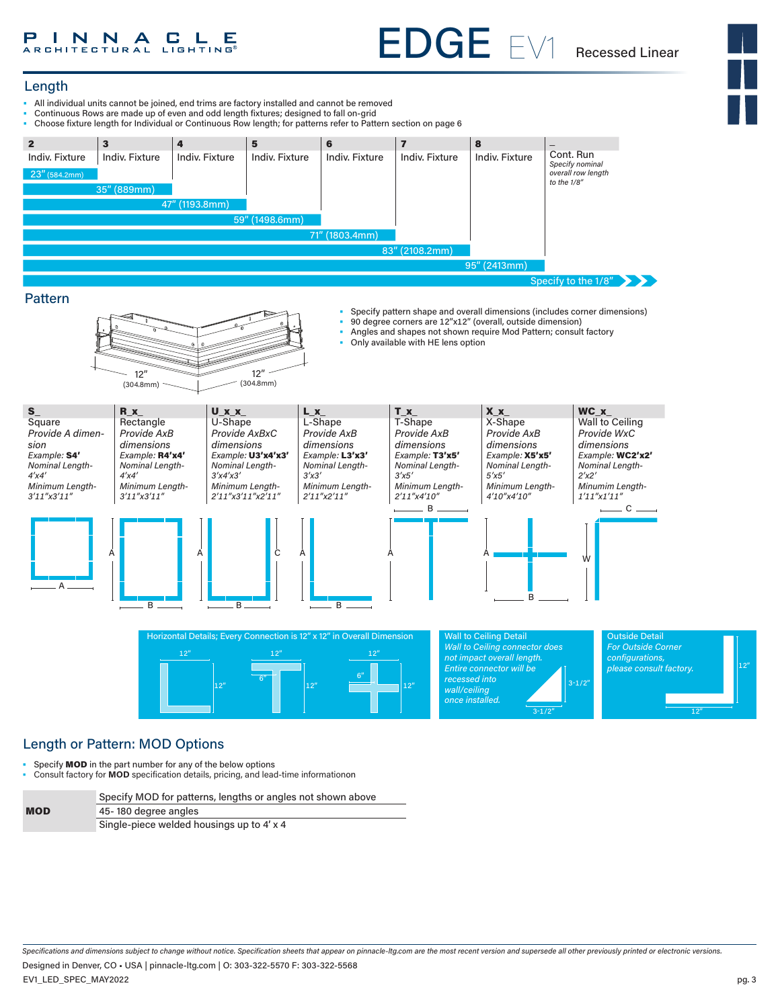# EDGE EV1 Recessed Linear

#### Length

- All individual units cannot be joined, end trims are factory installed and cannot be removed
- Continuous Rows are made up of even and odd length fixtures; designed to fall on-grid
- Choose fixture length for Individual or Continuous Row length; for patterns refer to Pattern section on page 6



#### Pattern



- Specify pattern shape and overall dimensions (includes corner dimensions)
- 90 degree corners are  $12''x12''$  (overall, outside dimension)<br>• Angles and shapes not shown require Mod Pattern: consult
- Angles and shapes not shown require Mod Pattern; consult factory
- Only available with HE lens option

12"

*wall/ceiling once installed.*

3-1/2"



12"

#### Length or Pattern: MOD Options

• Specify **MOD** in the part number for any of the below options

• Consult factory for **MOD** specification details, pricing, and lead-time informationon

|            | Specify MOD for patterns, lengths or angles not shown above |  |
|------------|-------------------------------------------------------------|--|
| <b>MOD</b> | 45-180 degree angles                                        |  |
|            | Single-piece welded housings up to 4' x 4                   |  |
|            |                                                             |  |

12"

*Specifications and dimensions subject to change without notice. Specification sheets that appear on pinnacle-ltg.com are the most recent version and supersede all other previously printed or electronic versions.*

EV1\_LED\_SPEC\_MAY2022 Designed in Denver, CO • USA | pinnacle-ltg.com | O: 303-322-5570 F: 303-322-5568 12"

12"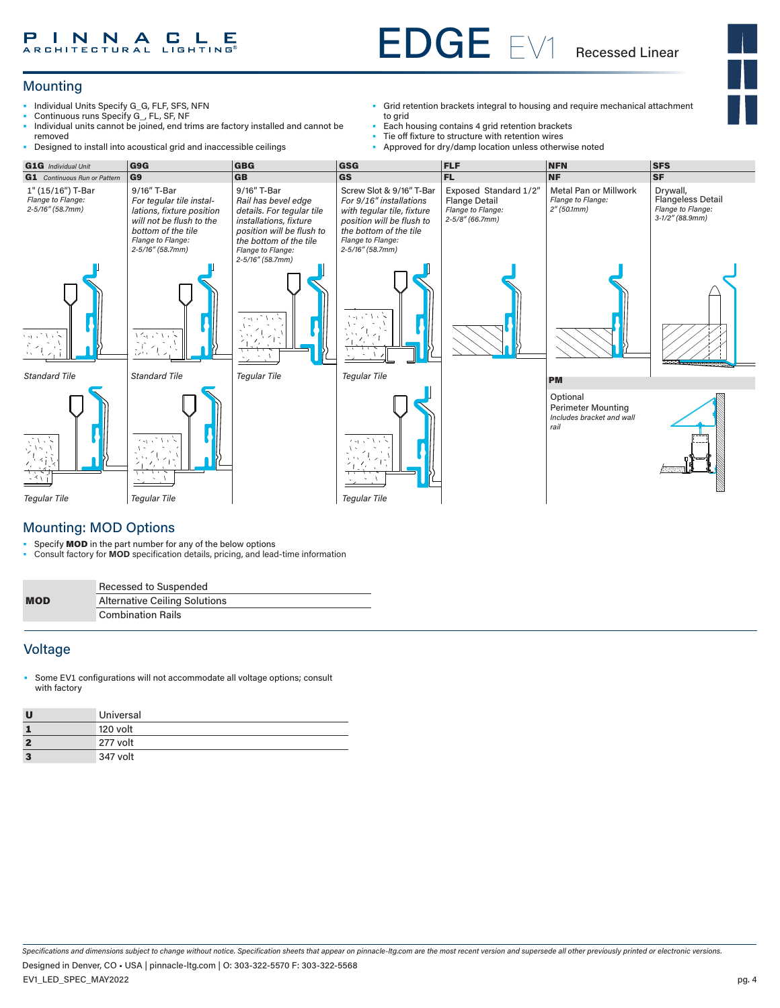#### P **I N N A C L E** P

# EDGE EV1

Recessed Linear

### **Mounting**

- Individual Units Specify G\_G, FLF, SFS, NFN
- Continuous runs Specify G\_, FL, SF, NF
- Individual units cannot be joined, end trims are factory installed and cannot be removed • Designed to install into acoustical grid and inaccessible ceilings
- Grid retention brackets integral to housing and require mechanical attachment to grid
- Each housing contains 4 grid retention brackets<br>• Tie off fixture to structure with retention wires
- Tie off fixture to structure with retention wires<br>• Approved for dry/damp location unless other
- Approved for dry/damp location unless otherwise noted



#### Mounting: MOD Options

• Specify **MOD** in the part number for any of the below options<br>• Consult factory for **MOD** specification details, pricing, and lead

• Consult factory for **MOD** specification details, pricing, and lead-time information

|            | Recessed to Suspended                |
|------------|--------------------------------------|
| <b>MOD</b> | <b>Alternative Ceiling Solutions</b> |
|            | <b>Combination Rails</b>             |

#### Voltage

Some EV1 configurations will not accommodate all voltage options; consult with factory

| Universal |
|-----------|
| 120 volt  |
| 277 volt  |
| 347 volt  |

*Specifications and dimensions subject to change without notice. Specification sheets that appear on pinnacle-ltg.com are the most recent version and supersede all other previously printed or electronic versions.*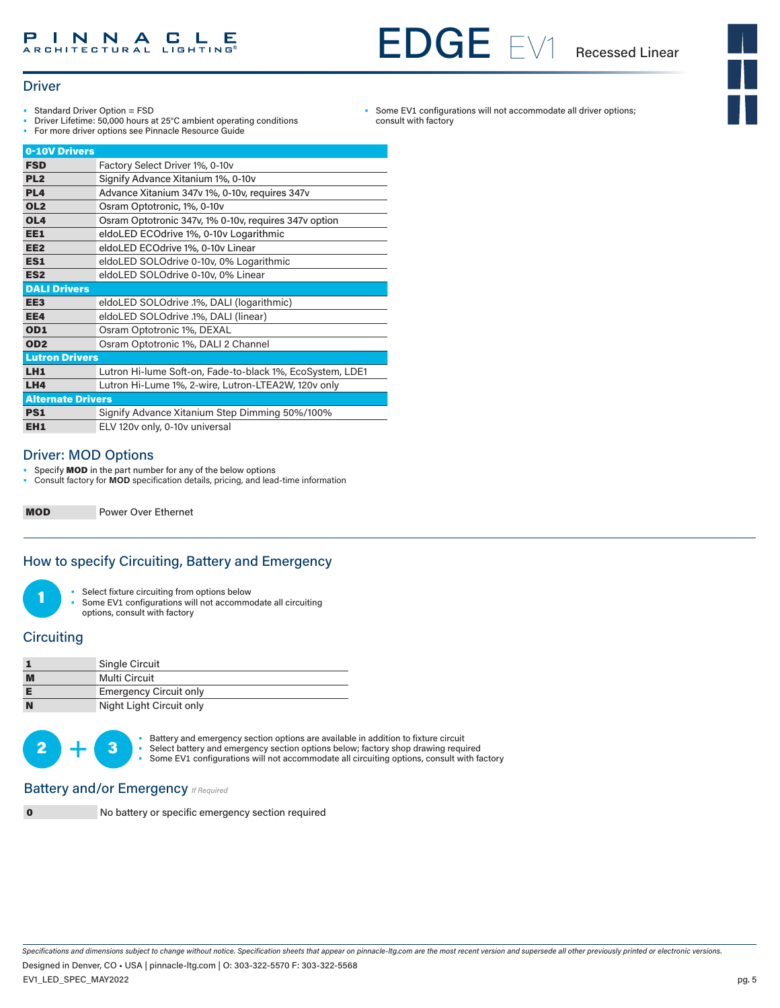#### **INNACLE** Р

# EDGE EV1 Recessed Linear

• Some EV1 configurations will not accommodate all driver options;

consult with factory



#### **Driver**

- Standard Driver Option = FSD
- Driver Lifetime: 50,000 hours at 25°C ambient operating conditions
- For more driver options see Pinnacle Resource Guide

| 0-10V Drivers            |                                                           |  |  |  |
|--------------------------|-----------------------------------------------------------|--|--|--|
| <b>FSD</b>               | Factory Select Driver 1%, 0-10v                           |  |  |  |
| PL <sub>2</sub>          | Signify Advance Xitanium 1%, 0-10v                        |  |  |  |
| PL <sub>4</sub>          | Advance Xitanium 347v 1%, 0-10v, requires 347v            |  |  |  |
| OL <sub>2</sub>          | Osram Optotronic, 1%, 0-10v                               |  |  |  |
| OL <sub>4</sub>          | Osram Optotronic 347v, 1% 0-10v, requires 347v option     |  |  |  |
| EE1                      | eldoLED ECOdrive 1%, 0-10v Logarithmic                    |  |  |  |
| EE <sub>2</sub>          | eldoLED ECOdrive 1%, 0-10v Linear                         |  |  |  |
| ES1                      | eldoLED SOLOdrive 0-10v, 0% Logarithmic                   |  |  |  |
| ES <sub>2</sub>          | eldoLED SOLOdrive 0-10v, 0% Linear                        |  |  |  |
| <b>DALI Drivers</b>      |                                                           |  |  |  |
| EE <sub>3</sub>          | eldoLED SOLOdrive .1%, DALI (logarithmic)                 |  |  |  |
| EE4                      | eldoLED SOLOdrive .1%, DALI (linear)                      |  |  |  |
| OD <sub>1</sub>          | Osram Optotronic 1%, DEXAL                                |  |  |  |
| OD <sub>2</sub>          | Osram Optotronic 1%, DALI 2 Channel                       |  |  |  |
| <b>Lutron Drivers</b>    |                                                           |  |  |  |
| LH1                      | Lutron Hi-lume Soft-on, Fade-to-black 1%, EcoSystem, LDE1 |  |  |  |
| LH4                      | Lutron Hi-Lume 1%, 2-wire, Lutron-LTEA2W, 120v only       |  |  |  |
| <b>Alternate Drivers</b> |                                                           |  |  |  |
| <b>PS1</b>               | Signify Advance Xitanium Step Dimming 50%/100%            |  |  |  |
| EH <sub>1</sub>          | ELV 120v only, 0-10v universal                            |  |  |  |

#### Driver: MOD Options

Specify **MOD** in the part number for any of the below options

• Consult factory for **MOD** specification details, pricing, and lead-time information

MOD Power Over Ethernet

#### How to specify Circuiting, Battery and Emergency

• Select fixture circuiting from options below

• Some EV1 configurations will not accommodate all circuiting options, consult with factory

#### **Circuiting**

|   | Single Circuit                |
|---|-------------------------------|
| M | Multi Circuit                 |
|   | <b>Emergency Circuit only</b> |
| N | Night Light Circuit only      |



• Battery and emergency section options are available in addition to fixture circuit<br>• Select battery and emergency section options below; factory shop drawing required Some EV1 configurations will not accommodate all circuiting options, consult with factory

#### **Battery and/or Emergency** *If Required*

0 No battery or specific emergency section required

*Specifications and dimensions subject to change without notice. Specification sheets that appear on pinnacle-ltg.com are the most recent version and supersede all other previously printed or electronic versions.* Designed in Denver, CO • USA | pinnacle-ltg.com | O: 303-322-5570 F: 303-322-5568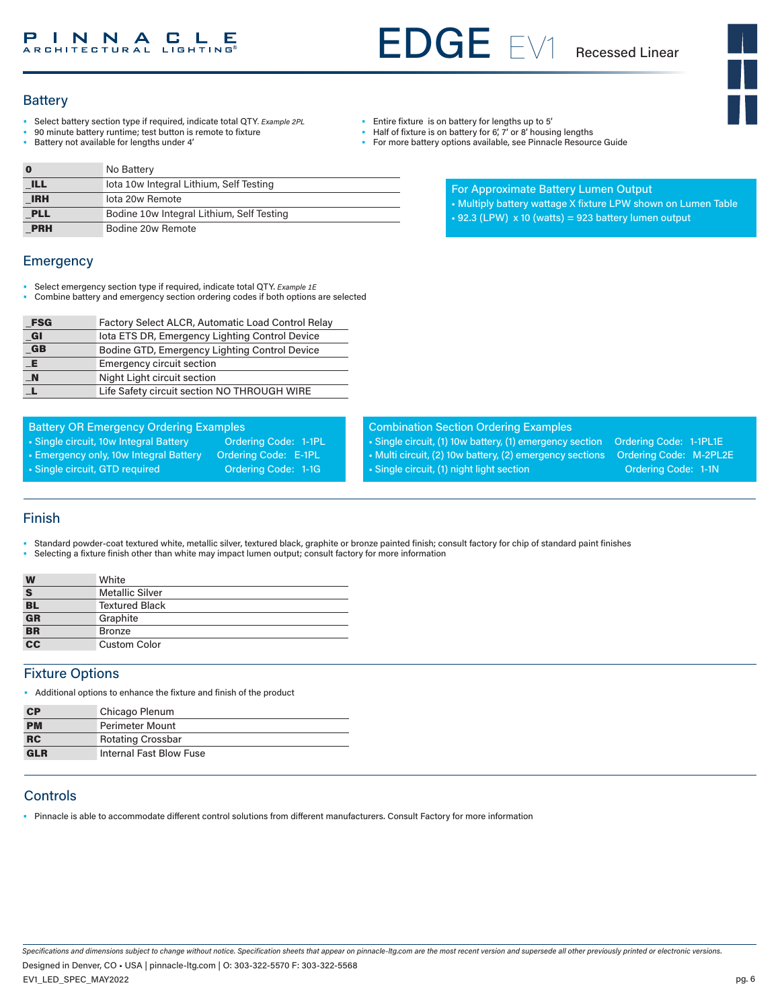# EDGE EV1 Recessed Linear

#### **Battery**

- Select battery section type if required, indicate total QTY*. Example 2PL*
- 90 minute battery runtime; test button is remote to fixture
- Battery not available for lengths under 4'

|            | No Battery                                |
|------------|-------------------------------------------|
| <b>ILL</b> | lota 10w Integral Lithium, Self Testing   |
| <b>IRH</b> | lota 20w Remote                           |
| <b>PLL</b> | Bodine 10w Integral Lithium, Self Testing |
| <b>PRH</b> | Bodine 20w Remote                         |

#### **Emergency**

- Select emergency section type if required, indicate total QTY. *Example 1E*
- Combine battery and emergency section ordering codes if both options are selected

| <b>FSG</b>     | Factory Select ALCR, Automatic Load Control Relay |
|----------------|---------------------------------------------------|
| _GI            | lota ETS DR, Emergency Lighting Control Device    |
| $G$ B          | Bodine GTD, Emergency Lighting Control Device     |
| LE.            | <b>Emergency circuit section</b>                  |
| $\blacksquare$ | Night Light circuit section                       |
|                | Life Safety circuit section NO THROUGH WIRE       |

| <b>Battery OR Emergency Ordering Examples</b> |                             |  |  |  |
|-----------------------------------------------|-----------------------------|--|--|--|
| • Single circuit, 10w Integral Battery        | <b>Ordering Code: 1-1PL</b> |  |  |  |
| • Emergency only, 10w Integral Battery        | Ordering Code: E-1PL        |  |  |  |
| • Single circuit, GTD required                | <b>Ordering Code: 1-1G</b>  |  |  |  |

- Entire fixture is on battery for lengths up to 5'
- Half of fixture is on battery for 6', 7' or 8' housing lengths
- For more battery options available, see Pinnacle Resource Guide

| For Approximate Battery Lumen Output |  |
|--------------------------------------|--|
|--------------------------------------|--|

- Multiply battery wattage X fixture LPW shown on Lumen Table
- $\cdot$  92.3 (LPW) x 10 (watts) = 923 battery lumen output

#### Combination Section Ordering Examples

• Single circuit, (1) 10w battery, (1) emergency section Ordering Code: 1-1PL1E • Multi circuit, (2) 10w battery, (2) emergency sections Ordering Code: M-2PL2E • Single circuit, (1) night light section **Ordering Code: 1-1N** 

#### Finish

- Standard powder-coat textured white, metallic silver, textured black, graphite or bronze painted finish; consult factory for chip of standard paint finishes
- Selecting a fixture finish other than white may impact lumen output; consult factory for more information

| W                         | White                  |
|---------------------------|------------------------|
| $\mathbf{s}$              | <b>Metallic Silver</b> |
| <b>BL</b>                 | <b>Textured Black</b>  |
| $\overline{\mathbf{G}}$ R | Graphite               |
| <b>BR</b>                 | <b>Bronze</b>          |
| $\overline{cc}$           | <b>Custom Color</b>    |

#### Fixture Options

• Additional options to enhance the fixture and finish of the product

| <b>CP</b>  | Chicago Plenum           |  |  |  |  |
|------------|--------------------------|--|--|--|--|
| <b>PM</b>  | Perimeter Mount          |  |  |  |  |
| <b>RC</b>  | <b>Rotating Crossbar</b> |  |  |  |  |
| <b>GLR</b> | Internal Fast Blow Fuse  |  |  |  |  |
|            |                          |  |  |  |  |

### **Controls**

• Pinnacle is able to accommodate different control solutions from different manufacturers. Consult Factory for more information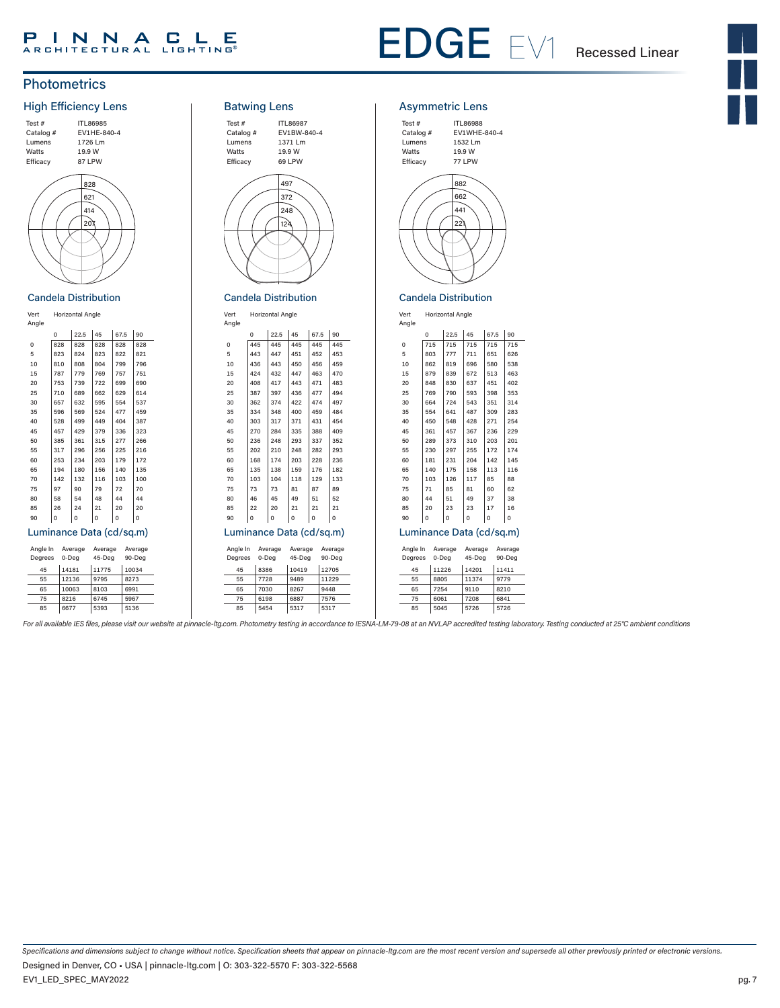# PINNACLE

# EDGE EV1 Recessed Linear

### **Photometrics**



#### Candela Distribution

#### Vert Horizontal Angle Angle  $0 \t | 22.5 \t | 45$ Vert  $| 67.5 | 90$ 0 828 828 828 828 5 823 824 823 822 821 10 810 808 804 799 796<br>15 787 779 769 757 751 15 787 779 769 757 751<br>20 753 739 722 699 690 20 753 739 722 699 690<br>
25 710 689 662 629 614 689 30 657 632 595 554 537 35 596 569 524 477 459 40 528 499 449 404 387  $\begin{array}{|c|c|c|c|c|}\n 45 & & 457 & 429 & 379 & 336 & 323 \\
 50 & & 385 & 361 & 315 & 277 & 266\n\end{array}$  $\begin{array}{|c|c|c|c|c|c|}\n\hline\n50 & 385 & 361 & 315 & 277 & 266 \\
55 & 317 & 296 & 256 & 225 & 216\n\end{array}$  $\begin{array}{|c|c|c|c|c|c|}\n\hline\n55 & 317 & 296 & 256 & 225 & 216 \\
60 & 253 & 234 & 203 & 179 & 172\n\end{array}$  $\vert$  253 65 194 180 156 140 135 70 142 132 116 103 100 75 97 90 79 72 70 80 58 54 48 44 44  $\begin{array}{c|c|c|c|c|c|c|c|c} 85 & & 26 & & 24 & & 21 & & 20 & & 20 \\ 90 & & 0 & & 0 & & 0 & & 0 \end{array}$ 90 0 0 0 0 0 Luminance Data (cd/sq.m) Angle In Average Degrees 0-Deg Average 45-Deg Average 90-Deg 45 14181 11775 10034 55 12136 9795 8273

65 10063 8103 6991 75 8216 6745 5967<br>85 6677 5393 5136 5393



Candela Distribution

Vert

Vert Horizontal Angle

|                          | Angle    |     |       |         |         |      |      |         |
|--------------------------|----------|-----|-------|---------|---------|------|------|---------|
|                          |          | 0   |       | 22.5    | 45      | 67.5 |      | 90      |
|                          | $\Omega$ | 445 |       | 445     | 445     | 445  |      | 445     |
|                          | 5        | 443 |       | 447     | 451     | 452  |      | 453     |
|                          | 10       | 436 |       | 443     | 450     | 456  |      | 459     |
|                          | 15       | 424 |       | 432     | 447     | 463  |      | 470     |
|                          | 20       | 408 |       | 417     | 443     | 471  |      | 483     |
|                          | 25       | 387 |       | 397     | 436     | 477  |      | 494     |
|                          | 30       | 362 |       | 374     | 422     | 474  |      | 497     |
|                          | 35       | 334 |       | 348     | 400     | 459  |      | 484     |
|                          | 40       | 303 |       | 317     | 371     | 431  |      | 454     |
|                          | 45       | 270 |       | 284     | 335     | 388  |      | 409     |
|                          | 50       | 236 |       | 248     | 293     | 337  |      | 352     |
|                          | 55       | 202 |       | 210     | 248     | 282  |      | 293     |
|                          | 60       | 168 |       | 174     | 203     | 228  |      | 236     |
|                          | 65       | 135 |       | 138     | 159     | 176  |      | 182     |
|                          | 70       | 103 |       | 104     | 118     | 129  |      | 133     |
|                          | 75       | 73  |       | 73      | 81      | 87   |      | 89      |
|                          | 80       | 46  |       | 45      | 49      | 51   |      | 52      |
|                          | 85       | 22  |       | 20      | 21      | 21   |      | 21      |
|                          | 90       | 0   |       | 0       | 0       | 0    |      | 0       |
| Luminance Data (cd/sq.m) |          |     |       |         |         |      |      |         |
|                          | Angle In |     |       | Average | Average |      |      | Average |
|                          | Degrees  |     | 0-Deg |         | 45-Deg  |      |      | 90-Deg  |
|                          | 45       |     | 8386  |         | 10419   |      |      | 12705   |
|                          | 55       |     | 7728  |         | 9489    |      |      | 11229   |
|                          | 65       |     | 7030  |         | 8267    |      | 9448 |         |
|                          | 75       |     | 6198  |         | 6887    |      | 7576 |         |
|                          | 85       |     | 5454  |         | 5317    |      | 5317 |         |

#### Asymmetric Lens



### Candela Distribution

Vert Horizontal Angle Angle Vert

|                          | $\Omega$                                                                          | 22.5 | 45     | 67.5     | 90    |
|--------------------------|-----------------------------------------------------------------------------------|------|--------|----------|-------|
| 0                        | 715                                                                               | 715  | 715    | 715      | 715   |
| 5                        | 803                                                                               | 777  | 711    | 651      | 626   |
| 10                       | 862                                                                               | 819  | 696    | 580      | 538   |
| 15                       | 879                                                                               | 839  | 672    | 513      | 463   |
| 20                       | 848                                                                               | 830  | 637    | 451      | 402   |
| 25                       | 769                                                                               | 790  | 593    | 398      | 353   |
| 30                       | 664                                                                               | 724  | 543    | 351      | 314   |
| 35                       | 554                                                                               | 641  | 487    | 309      | 283   |
| 40                       | 450                                                                               | 548  | 428    | 271      | 254   |
| 45                       | 361                                                                               | 457  | 367    | 236      | 229   |
| 50                       | 289                                                                               | 373  | 310    | 203      | 201   |
| 55                       | 230                                                                               | 297  | 255    | 172      | 174   |
| 60                       | 181                                                                               | 231  | 204    | 142      | 145   |
| 65                       | 140                                                                               | 175  | 158    | 113      | 116   |
| 70                       | 103                                                                               | 126  | 117    | 85       | 88    |
| 75                       | 71                                                                                | 85   | 81     | 60       | 62    |
| 80                       | 44                                                                                | 51   | 49     | 37       | 38    |
| 85                       | 20                                                                                | 23   | 23     | 17       | 16    |
| 90                       | O                                                                                 | O    | O      | $\Omega$ | O     |
| Luminance Data (cd/sq.m) |                                                                                   |      |        |          |       |
|                          | Angle In<br>Average<br>Average<br>Average<br>45-Deg<br>90-Deg<br>Degrees<br>0-Deg |      |        |          |       |
| 45                       | 11226                                                                             |      | 1,4201 |          | 11411 |

| 45 | 11226 | 14201 | 11411 |
|----|-------|-------|-------|
| 55 | 8805  | 11374 | 9779  |
| 65 | 7254  | 9110  | 8210  |
| 75 | 6061  | 7208  | 6841  |
| 85 | 5045  | 5726  | 5726  |

For all available IES files, please visit our website at pinnacle-ltg.com. Photometry testing in accordance to IESNA-LM-79-08 at an NVLAP accredited testing laboratory. Testing conducted at 25°C ambient conditions

*Specifications and dimensions subject to change without notice. Specification sheets that appear on pinnacle-ltg.com are the most recent version and supersede all other previously printed or electronic versions.* EV1\_LED\_SPEC\_MAY2022 pg. 7 Designed in Denver, CO • USA | pinnacle-ltg.com | O: 303-322-5570 F: 303-322-5568